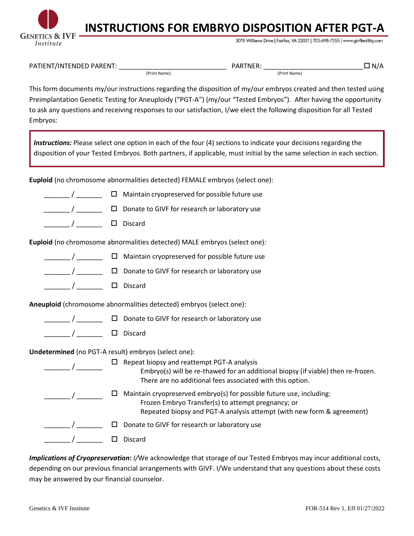

## **INSTRUCTIONS FOR EMBRYO DISPOSITION AFTER PGT-A**

3015 Williams Drive | Fairfax, VA 22031 | 703-698-7355 | www.givffertility.com

| <b>PATIF</b><br>- N<br>71 N.<br>э۴.<br>- NH<br>NH |               | . J A D -<br>. NF<br>. |              |  |
|---------------------------------------------------|---------------|------------------------|--------------|--|
|                                                   | Dr.<br>: Name |                        | 'Print Name) |  |

This form documents my/our instructions regarding the disposition of my/our embryos created and then tested using Preimplantation Genetic Testing for Aneuploidy ("PGT-A") (my/our "Tested Embryos"). After having the opportunity to ask any questions and receiving responses to our satisfaction, I/we elect the following disposition for all Tested Embryos:

*Instructions:* Please select one option in each of the four (4) sections to indicate your decisions regarding the disposition of your Tested Embryos. Both partners, if applicable, must initial by the same selection in each section.

**Euploid** (no chromosome abnormalities detected) FEMALE embryos (select one):

- $\Box$  Maintain cryopreserved for possible future use
- $\square$  Donate to GIVF for research or laboratory use
- \_\_\_\_\_\_\_ / \_\_\_\_\_\_\_ Discard

**Euploid** (no chromosome abnormalities detected) MALE embryos (select one)*:*

- $\Box$  $\Box$   $\Box$   $\Box$  Maintain cryopreserved for possible future use
- \_\_\_\_\_\_\_ / \_\_\_\_\_\_\_ Donate to GIVF for research or laboratory use
- \_\_\_\_\_\_\_\_\_ / \_\_\_\_\_\_\_\_\_ □ Discard

**Aneuploid** (chromosome abnormalities detected) embryos (select one):

- \_\_\_\_\_\_\_ / \_\_\_\_\_\_\_ Donate to GIVF for research or laboratory use
- \_\_\_\_\_\_\_\_\_ / \_\_\_\_\_\_\_\_\_ □ Discard

**Undetermined** (no PGT-A result) embryos (select one):

| Repeat biopsy and reattempt PGT-A analysis<br>Embryo(s) will be re-thawed for an additional biopsy (if viable) then re-frozen.<br>There are no additional fees associated with this option.          |
|------------------------------------------------------------------------------------------------------------------------------------------------------------------------------------------------------|
| Maintain cryopreserved embryo(s) for possible future use, including:<br>Frozen Embryo Transfer(s) to attempt pregnancy; or<br>Repeated biopsy and PGT-A analysis attempt (with new form & agreement) |
| Donate to GIVF for research or laboratory use                                                                                                                                                        |
| Discard                                                                                                                                                                                              |

*Implications of Cryopreservation***:** *I/*We acknowledge that storage of our Tested Embryos may incur additional costs, depending on our previous financial arrangements with GIVF. I/We understand that any questions about these costs may be answered by our financial counselor.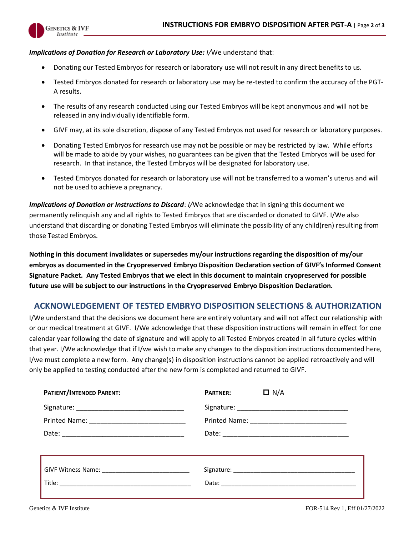

## *Implications of Donation for Research or Laboratory Use: I/*We understand that:

- Donating our Tested Embryos for research or laboratory use will not result in any direct benefits to us.
- Tested Embryos donated for research or laboratory use may be re-tested to confirm the accuracy of the PGT-A results.
- The results of any research conducted using our Tested Embryos will be kept anonymous and will not be released in any individually identifiable form.
- GIVF may, at its sole discretion, dispose of any Tested Embryos not used for research or laboratory purposes.
- Donating Tested Embryos for research use may not be possible or may be restricted by law. While efforts will be made to abide by your wishes, no guarantees can be given that the Tested Embryos will be used for research. In that instance, the Tested Embryos will be designated for laboratory use.
- Tested Embryos donated for research or laboratory use will not be transferred to a woman's uterus and will not be used to achieve a pregnancy.

*Implications of Donation or Instructions to Discard: I/We acknowledge that in signing this document we* permanently relinquish any and all rights to Tested Embryos that are discarded or donated to GIVF. I/We also understand that discarding or donating Tested Embryos will eliminate the possibility of any child(ren) resulting from those Tested Embryos.

**Nothing in this document invalidates or supersedes my/our instructions regarding the disposition of my/our embryos as documented in the Cryopreserved Embryo Disposition Declaration section of GIVF's Informed Consent Signature Packet. Any Tested Embryos that we elect in this document to maintain cryopreserved for possible future use will be subject to our instructions in the Cryopreserved Embryo Disposition Declaration.**

## **ACKNOWLEDGEMENT OF TESTED EMBRYO DISPOSITION SELECTIONS & AUTHORIZATION**

I/We understand that the decisions we document here are entirely voluntary and will not affect our relationship with or our medical treatment at GIVF. I/We acknowledge that these disposition instructions will remain in effect for one calendar year following the date of signature and will apply to all Tested Embryos created in all future cycles within that year. I/We acknowledge that if I/we wish to make any changes to the disposition instructions documented here, I/we must complete a new form. Any change(s) in disposition instructions cannot be applied retroactively and will only be applied to testing conducted after the new form is completed and returned to GIVF.

| <b>PATIENT/INTENDED PARENT:</b> | $\Box$ N/A<br><b>PARTNER:</b> |
|---------------------------------|-------------------------------|
|                                 |                               |
|                                 |                               |
|                                 |                               |
|                                 |                               |
|                                 |                               |
|                                 |                               |